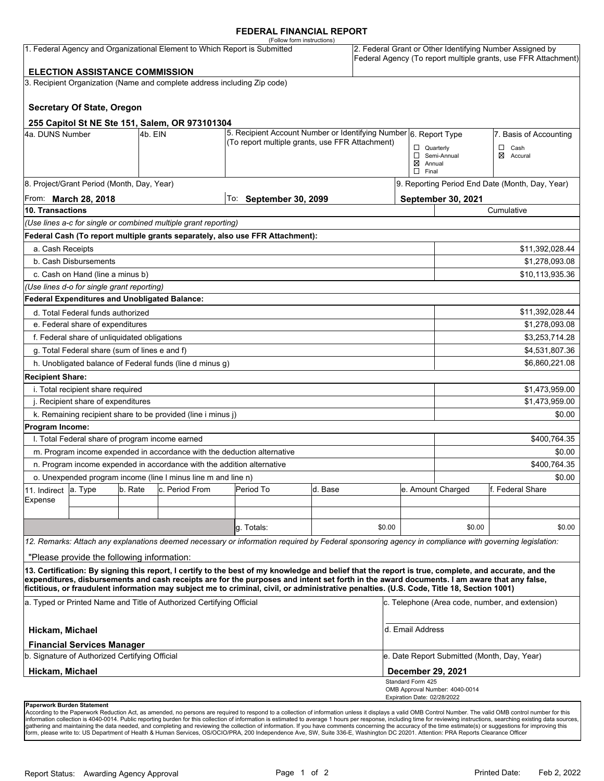#### **FEDERAL FINANCIAL REPORT**

|                                                                                                                    |                                                                 |         |                                                                                                                     | (Follow form instructions)                                                                                                                                                                                                                                                                         |         |        |                                                                                                                            |                                                 |                             |  |
|--------------------------------------------------------------------------------------------------------------------|-----------------------------------------------------------------|---------|---------------------------------------------------------------------------------------------------------------------|----------------------------------------------------------------------------------------------------------------------------------------------------------------------------------------------------------------------------------------------------------------------------------------------------|---------|--------|----------------------------------------------------------------------------------------------------------------------------|-------------------------------------------------|-----------------------------|--|
| 1. Federal Agency and Organizational Element to Which Report is Submitted<br><b>ELECTION ASSISTANCE COMMISSION</b> |                                                                 |         |                                                                                                                     |                                                                                                                                                                                                                                                                                                    |         |        | 2. Federal Grant or Other Identifying Number Assigned by<br>Federal Agency (To report multiple grants, use FFR Attachment) |                                                 |                             |  |
|                                                                                                                    |                                                                 |         |                                                                                                                     |                                                                                                                                                                                                                                                                                                    |         |        |                                                                                                                            |                                                 |                             |  |
|                                                                                                                    |                                                                 |         | 3. Recipient Organization (Name and complete address including Zip code)                                            |                                                                                                                                                                                                                                                                                                    |         |        |                                                                                                                            |                                                 |                             |  |
|                                                                                                                    | <b>Secretary Of State, Oregon</b>                               |         |                                                                                                                     |                                                                                                                                                                                                                                                                                                    |         |        |                                                                                                                            |                                                 |                             |  |
|                                                                                                                    |                                                                 |         | 255 Capitol St NE Ste 151, Salem, OR 973101304                                                                      |                                                                                                                                                                                                                                                                                                    |         |        |                                                                                                                            |                                                 |                             |  |
| 4a. DUNS Number<br>4b. EIN                                                                                         |                                                                 |         | 5. Recipient Account Number or Identifying Number 6. Report Type<br>(To report multiple grants, use FFR Attachment) |                                                                                                                                                                                                                                                                                                    |         |        |                                                                                                                            | 7. Basis of Accounting                          |                             |  |
|                                                                                                                    |                                                                 |         |                                                                                                                     |                                                                                                                                                                                                                                                                                                    |         |        | $\Box$ Quarterly<br>$\boxtimes$ Annual<br>$\Box$ Final                                                                     | Semi-Annual                                     | $\Box$ Cash<br>⊠<br>Accural |  |
| 8. Project/Grant Period (Month, Day, Year)                                                                         |                                                                 |         |                                                                                                                     |                                                                                                                                                                                                                                                                                                    |         |        |                                                                                                                            | 9. Reporting Period End Date (Month, Day, Year) |                             |  |
| From: <b>March 28, 2018</b>                                                                                        |                                                                 |         |                                                                                                                     | To: September 30, 2099                                                                                                                                                                                                                                                                             |         |        |                                                                                                                            | September 30, 2021                              |                             |  |
| 10. Transactions                                                                                                   |                                                                 |         |                                                                                                                     |                                                                                                                                                                                                                                                                                                    |         |        |                                                                                                                            | Cumulative                                      |                             |  |
|                                                                                                                    |                                                                 |         | (Use lines a-c for single or combined multiple grant reporting)                                                     |                                                                                                                                                                                                                                                                                                    |         |        |                                                                                                                            |                                                 |                             |  |
|                                                                                                                    |                                                                 |         |                                                                                                                     | Federal Cash (To report multiple grants separately, also use FFR Attachment):                                                                                                                                                                                                                      |         |        |                                                                                                                            |                                                 |                             |  |
| a. Cash Receipts                                                                                                   |                                                                 |         |                                                                                                                     |                                                                                                                                                                                                                                                                                                    |         |        |                                                                                                                            |                                                 | \$11,392,028.44             |  |
|                                                                                                                    | b. Cash Disbursements                                           |         |                                                                                                                     |                                                                                                                                                                                                                                                                                                    |         |        |                                                                                                                            | \$1,278,093.08                                  |                             |  |
|                                                                                                                    | c. Cash on Hand (line a minus b)                                |         |                                                                                                                     |                                                                                                                                                                                                                                                                                                    |         |        |                                                                                                                            |                                                 | \$10,113,935.36             |  |
|                                                                                                                    | (Use lines d-o for single grant reporting)                      |         |                                                                                                                     |                                                                                                                                                                                                                                                                                                    |         |        |                                                                                                                            |                                                 |                             |  |
|                                                                                                                    | Federal Expenditures and Unobligated Balance:                   |         |                                                                                                                     |                                                                                                                                                                                                                                                                                                    |         |        |                                                                                                                            |                                                 |                             |  |
|                                                                                                                    | d. Total Federal funds authorized                               |         |                                                                                                                     |                                                                                                                                                                                                                                                                                                    |         |        |                                                                                                                            |                                                 | \$11,392,028.44             |  |
| e. Federal share of expenditures                                                                                   |                                                                 |         |                                                                                                                     |                                                                                                                                                                                                                                                                                                    |         |        |                                                                                                                            | \$1,278,093.08                                  |                             |  |
| f. Federal share of unliquidated obligations                                                                       |                                                                 |         |                                                                                                                     |                                                                                                                                                                                                                                                                                                    |         |        |                                                                                                                            | \$3,253,714.28                                  |                             |  |
| g. Total Federal share (sum of lines e and f)                                                                      |                                                                 |         |                                                                                                                     |                                                                                                                                                                                                                                                                                                    |         |        |                                                                                                                            |                                                 | \$4,531,807.36              |  |
|                                                                                                                    |                                                                 |         | h. Unobligated balance of Federal funds (line d minus g)                                                            |                                                                                                                                                                                                                                                                                                    |         |        |                                                                                                                            |                                                 | \$6,860,221.08              |  |
| <b>Recipient Share:</b>                                                                                            |                                                                 |         |                                                                                                                     |                                                                                                                                                                                                                                                                                                    |         |        |                                                                                                                            |                                                 |                             |  |
| i. Total recipient share required                                                                                  |                                                                 |         |                                                                                                                     |                                                                                                                                                                                                                                                                                                    |         |        |                                                                                                                            |                                                 | \$1,473,959.00              |  |
| j. Recipient share of expenditures                                                                                 |                                                                 |         |                                                                                                                     |                                                                                                                                                                                                                                                                                                    |         |        |                                                                                                                            | \$1,473,959.00                                  |                             |  |
|                                                                                                                    |                                                                 |         | k. Remaining recipient share to be provided (line i minus j)                                                        |                                                                                                                                                                                                                                                                                                    |         |        |                                                                                                                            |                                                 | \$0.00                      |  |
| Program Income:                                                                                                    |                                                                 |         |                                                                                                                     |                                                                                                                                                                                                                                                                                                    |         |        |                                                                                                                            |                                                 |                             |  |
|                                                                                                                    | I. Total Federal share of program income earned<br>\$400,764.35 |         |                                                                                                                     |                                                                                                                                                                                                                                                                                                    |         |        |                                                                                                                            |                                                 |                             |  |
| m. Program income expended in accordance with the deduction alternative                                            |                                                                 |         |                                                                                                                     |                                                                                                                                                                                                                                                                                                    |         |        |                                                                                                                            |                                                 | \$0.00                      |  |
| n. Program income expended in accordance with the addition alternative                                             |                                                                 |         |                                                                                                                     |                                                                                                                                                                                                                                                                                                    |         |        |                                                                                                                            |                                                 | \$400,764.35                |  |
|                                                                                                                    |                                                                 |         | o. Unexpended program income (line I minus line m and line n)                                                       |                                                                                                                                                                                                                                                                                                    |         |        | \$0.00                                                                                                                     |                                                 |                             |  |
| 11. Indirect                                                                                                       | a. Type                                                         | b. Rate | c. Period From                                                                                                      | Period To                                                                                                                                                                                                                                                                                          | d. Base |        |                                                                                                                            | e. Amount Charged                               | lf. Federal Share           |  |
| Expense                                                                                                            |                                                                 |         |                                                                                                                     |                                                                                                                                                                                                                                                                                                    |         |        |                                                                                                                            |                                                 |                             |  |
|                                                                                                                    |                                                                 |         |                                                                                                                     |                                                                                                                                                                                                                                                                                                    |         |        |                                                                                                                            |                                                 |                             |  |
|                                                                                                                    |                                                                 |         |                                                                                                                     | g. Totals:                                                                                                                                                                                                                                                                                         |         | \$0.00 |                                                                                                                            | \$0.00                                          | \$0.00                      |  |
|                                                                                                                    |                                                                 |         |                                                                                                                     | 12. Remarks: Attach any explanations deemed necessary or information required by Federal sponsoring agency in compliance with governing legislation:                                                                                                                                               |         |        |                                                                                                                            |                                                 |                             |  |
|                                                                                                                    | "Please provide the following information:                      |         |                                                                                                                     |                                                                                                                                                                                                                                                                                                    |         |        |                                                                                                                            |                                                 |                             |  |
|                                                                                                                    |                                                                 |         |                                                                                                                     | 13. Certification: By signing this report, I certify to the best of my knowledge and belief that the report is true, complete, and accurate, and the<br>expenditures, disbursements and cash receipts are for the purposes and intent set forth in the award documents. I am aware that any false, |         |        |                                                                                                                            |                                                 |                             |  |
|                                                                                                                    |                                                                 |         |                                                                                                                     | fictitious, or fraudulent information may subject me to criminal, civil, or administrative penalties. (U.S. Code, Title 18, Section 1001)                                                                                                                                                          |         |        |                                                                                                                            |                                                 |                             |  |
| a. Typed or Printed Name and Title of Authorized Certifying Official                                               |                                                                 |         |                                                                                                                     |                                                                                                                                                                                                                                                                                                    |         |        | c. Telephone (Area code, number, and extension)                                                                            |                                                 |                             |  |
| d. Email Address<br>Hickam, Michael                                                                                |                                                                 |         |                                                                                                                     |                                                                                                                                                                                                                                                                                                    |         |        |                                                                                                                            |                                                 |                             |  |
|                                                                                                                    | <b>Financial Services Manager</b>                               |         |                                                                                                                     |                                                                                                                                                                                                                                                                                                    |         |        |                                                                                                                            |                                                 |                             |  |
| b. Signature of Authorized Certifying Official                                                                     |                                                                 |         |                                                                                                                     |                                                                                                                                                                                                                                                                                                    |         |        | e. Date Report Submitted (Month, Day, Year)                                                                                |                                                 |                             |  |
| Hickam, Michael                                                                                                    |                                                                 |         |                                                                                                                     |                                                                                                                                                                                                                                                                                                    |         |        | <b>December 29, 2021</b>                                                                                                   |                                                 |                             |  |
|                                                                                                                    |                                                                 |         |                                                                                                                     |                                                                                                                                                                                                                                                                                                    |         |        | Standard Form 425<br>Expiration Date: 02/28/2022                                                                           | OMB Approval Number: 4040-0014                  |                             |  |
|                                                                                                                    | Paperwork Burden Statement                                      |         |                                                                                                                     |                                                                                                                                                                                                                                                                                                    |         |        |                                                                                                                            |                                                 |                             |  |

According to the Paperwork Reduction Act, as amended, no persons are required to respond to a collection of information unless it displays a valid OMB Control Number. The valid OMB control number for this<br>information colle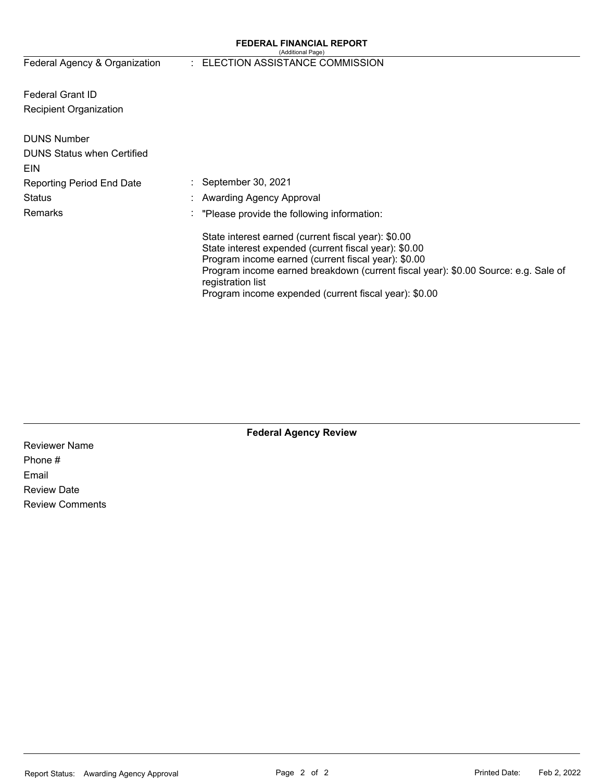#### **FEDERAL FINANCIAL REPORT**  (Additional Page)

# Federal Agency & Organization : ELECTION ASSISTANCE COMMISSION

Federal Grant ID Recipient Organization

| <b>DUNS Number</b><br><b>DUNS Status when Certified</b> |                                                                                                                                                                                                                                                                                                                                         |
|---------------------------------------------------------|-----------------------------------------------------------------------------------------------------------------------------------------------------------------------------------------------------------------------------------------------------------------------------------------------------------------------------------------|
| EIN                                                     |                                                                                                                                                                                                                                                                                                                                         |
| <b>Reporting Period End Date</b>                        | September 30, 2021                                                                                                                                                                                                                                                                                                                      |
| <b>Status</b>                                           | : Awarding Agency Approval                                                                                                                                                                                                                                                                                                              |
| Remarks                                                 | "Please provide the following information:                                                                                                                                                                                                                                                                                              |
|                                                         | State interest earned (current fiscal year): \$0.00<br>State interest expended (current fiscal year): \$0.00<br>Program income earned (current fiscal year): \$0.00<br>Program income earned breakdown (current fiscal year): \$0.00 Source: e.g. Sale of<br>registration list<br>Program income expended (current fiscal year): \$0.00 |

**Federal Agency Review** 

Reviewer Name Phone # Email Review Date Review Comments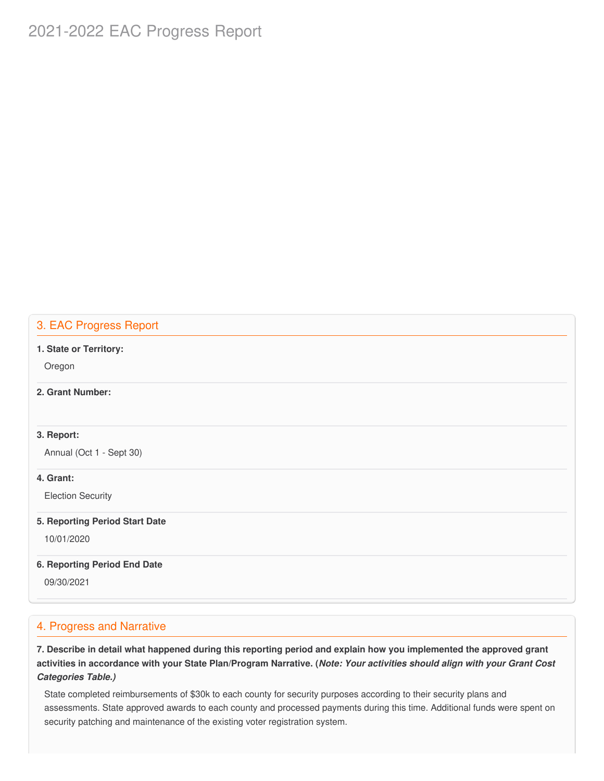# 2021-2022 EAC Progress Report

# 3. EAC Progress Report

#### **1. State or Territory:**

Oregon

### **2. Grant Number:**

#### **3. Report:**

Annual (Oct 1 - Sept 30)

#### **4. Grant:**

Election Security

#### **5. Reporting Period Start Date**

10/01/2020

#### **6. Reporting Period End Date**

09/30/2021

### 4. Progress and Narrative

7. Describe in detail what happened during this reporting period and explain how you implemented the approved grant activities in accordance with your State Plan/Program Narrative. (*Note: Your activities should align with your Grant Cost Categories Table.)*

 State completed reimbursements of \$30k to each county for security purposes according to their security plans and assessments. State approved awards to each county and processed payments during this time. Additional funds were spent on security patching and maintenance of the existing voter registration system.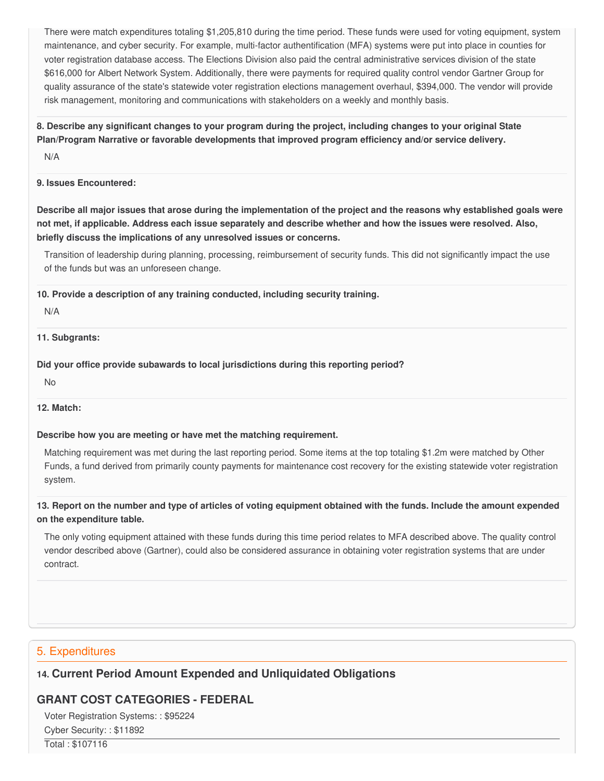There were match expenditures totaling \$1,205,810 during the time period. These funds were used for voting equipment, system maintenance, and cyber security. For example, multi-factor authentification (MFA) systems were put into place in counties for voter registration database access. The Elections Division also paid the central administrative services division of the state \$616,000 for Albert Network System. Additionally, there were payments for required quality control vendor Gartner Group for quality assurance of the state's statewide voter registration elections management overhaul, \$394,000. The vendor will provide risk management, monitoring and communications with stakeholders on a weekly and monthly basis.

8. Describe any significant changes to your program during the project, including changes to your original State  **Plan/Program Narrative or favorable developments that improved program efficiency and/or service delivery.**

N/A

#### **9. Issues Encountered:**

Describe all major issues that arose during the implementation of the project and the reasons why established goals were not met, if applicable. Address each issue separately and describe whether and how the issues were resolved. Also,  **briefly discuss the implications of any unresolved issues or concerns.**

 Transition of leadership during planning, processing, reimbursement of security funds. This did not significantly impact the use of the funds but was an unforeseen change.

 **10. Provide a description of any training conducted, including security training.**

#### N/A

#### **11. Subgrants:**

 **Did your office provide subawards to local jurisdictions during this reporting period?**

No

#### **12. Match:**

#### **Describe how you are meeting or have met the matching requirement.**

 Matching requirement was met during the last reporting period. Some items at the top totaling \$1.2m were matched by Other Funds, a fund derived from primarily county payments for maintenance cost recovery for the existing statewide voter registration system.

### 13. Report on the number and type of articles of voting equipment obtained with the funds. Include the amount expended  **on the expenditure table.**

 The only voting equipment attained with these funds during this time period relates to MFA described above. The quality control vendor described above (Gartner), could also be considered assurance in obtaining voter registration systems that are under contract.

## 5. Expenditures

# **14. Current Period Amount Expended and Unliquidated Obligations**

# **GRANT COST CATEGORIES - FEDERAL**

 Voter Registration Systems: : \$95224 Cyber Security: : \$11892

Total : \$107116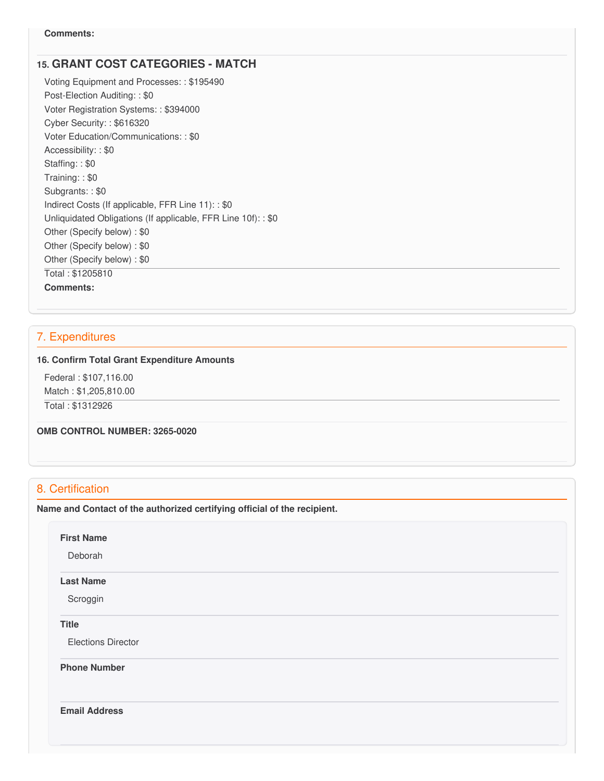# **15. GRANT COST CATEGORIES - MATCH**

 Voting Equipment and Processes: : \$195490 Post-Election Auditing: : \$0 Voter Registration Systems: : \$394000 Cyber Security: : \$616320 Voter Education/Communications: : \$0 Accessibility: : \$0 Staffing: : \$0 Training: : \$0 Subgrants: : \$0 Indirect Costs (If applicable, FFR Line 11): : \$0 Unliquidated Obligations (If applicable, FFR Line 10f): : \$0 Other (Specify below) : \$0 Other (Specify below) : \$0 Other (Specify below) : \$0 Total : \$1205810 **Comments:**

## 7. Expenditures

#### **16. Confirm Total Grant Expenditure Amounts**

 Federal : \$[107,116.00](https://107,116.00) Match : \$[1,205,810.00](https://1,205,810.00) Total : \$1312926

 **OMB CONTROL NUMBER: 3265-0020**

# 8. Certification

 **Name and Contact of the authorized certifying official of the recipient.**

**First Name**

Deborah

#### **Last Name**

Scroggin

#### **Title**

Elections Director

 **Phone Number**

**Email Address**